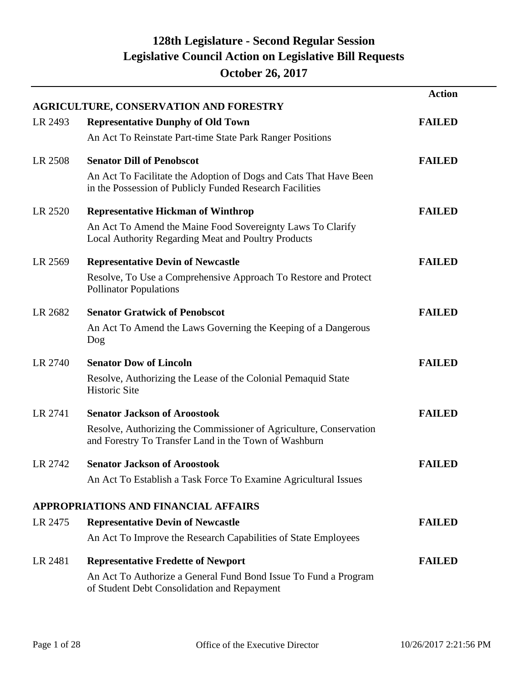|         |                                                                                                                               | <b>Action</b> |
|---------|-------------------------------------------------------------------------------------------------------------------------------|---------------|
|         | <b>AGRICULTURE, CONSERVATION AND FORESTRY</b>                                                                                 |               |
| LR 2493 | <b>Representative Dunphy of Old Town</b>                                                                                      | <b>FAILED</b> |
|         | An Act To Reinstate Part-time State Park Ranger Positions                                                                     |               |
| LR 2508 | <b>Senator Dill of Penobscot</b>                                                                                              | <b>FAILED</b> |
|         | An Act To Facilitate the Adoption of Dogs and Cats That Have Been<br>in the Possession of Publicly Funded Research Facilities |               |
| LR 2520 | <b>Representative Hickman of Winthrop</b>                                                                                     | <b>FAILED</b> |
|         | An Act To Amend the Maine Food Sovereignty Laws To Clarify<br>Local Authority Regarding Meat and Poultry Products             |               |
| LR 2569 | <b>Representative Devin of Newcastle</b>                                                                                      | <b>FAILED</b> |
|         | Resolve, To Use a Comprehensive Approach To Restore and Protect<br><b>Pollinator Populations</b>                              |               |
| LR 2682 | <b>Senator Gratwick of Penobscot</b>                                                                                          | <b>FAILED</b> |
|         | An Act To Amend the Laws Governing the Keeping of a Dangerous<br>Dog                                                          |               |
| LR 2740 | <b>Senator Dow of Lincoln</b>                                                                                                 | <b>FAILED</b> |
|         | Resolve, Authorizing the Lease of the Colonial Pemaquid State<br><b>Historic Site</b>                                         |               |
| LR 2741 | <b>Senator Jackson of Aroostook</b>                                                                                           | <b>FAILED</b> |
|         | Resolve, Authorizing the Commissioner of Agriculture, Conservation<br>and Forestry To Transfer Land in the Town of Washburn   |               |
| LR 2742 | <b>Senator Jackson of Aroostook</b>                                                                                           | <b>FAILED</b> |
|         | An Act To Establish a Task Force To Examine Agricultural Issues                                                               |               |
|         | <b>APPROPRIATIONS AND FINANCIAL AFFAIRS</b>                                                                                   |               |
| LR 2475 | <b>Representative Devin of Newcastle</b>                                                                                      | <b>FAILED</b> |
|         | An Act To Improve the Research Capabilities of State Employees                                                                |               |
| LR 2481 | <b>Representative Fredette of Newport</b>                                                                                     | <b>FAILED</b> |
|         | An Act To Authorize a General Fund Bond Issue To Fund a Program<br>of Student Debt Consolidation and Repayment                |               |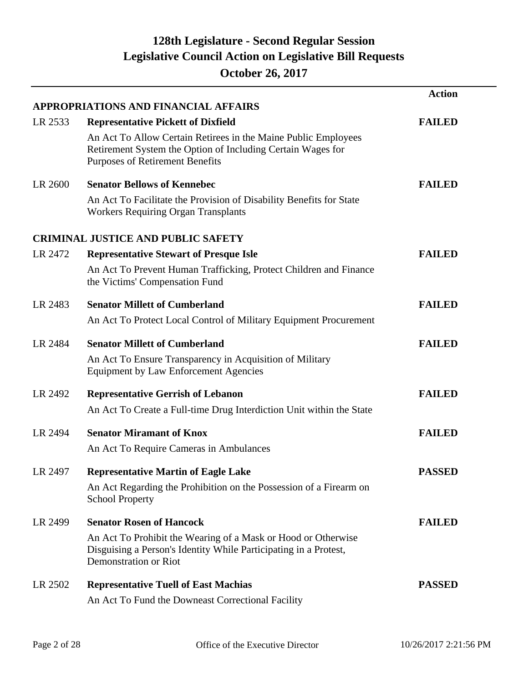|         |                                                                                                                                                                         | <b>Action</b> |
|---------|-------------------------------------------------------------------------------------------------------------------------------------------------------------------------|---------------|
|         | <b>APPROPRIATIONS AND FINANCIAL AFFAIRS</b>                                                                                                                             |               |
| LR 2533 | <b>Representative Pickett of Dixfield</b>                                                                                                                               | <b>FAILED</b> |
|         | An Act To Allow Certain Retirees in the Maine Public Employees<br>Retirement System the Option of Including Certain Wages for<br><b>Purposes of Retirement Benefits</b> |               |
| LR 2600 | <b>Senator Bellows of Kennebec</b>                                                                                                                                      | <b>FAILED</b> |
|         | An Act To Facilitate the Provision of Disability Benefits for State<br><b>Workers Requiring Organ Transplants</b>                                                       |               |
|         | <b>CRIMINAL JUSTICE AND PUBLIC SAFETY</b>                                                                                                                               |               |
| LR 2472 | <b>Representative Stewart of Presque Isle</b>                                                                                                                           | <b>FAILED</b> |
|         | An Act To Prevent Human Trafficking, Protect Children and Finance<br>the Victims' Compensation Fund                                                                     |               |
| LR 2483 | <b>Senator Millett of Cumberland</b>                                                                                                                                    | <b>FAILED</b> |
|         | An Act To Protect Local Control of Military Equipment Procurement                                                                                                       |               |
| LR 2484 | <b>Senator Millett of Cumberland</b>                                                                                                                                    | <b>FAILED</b> |
|         | An Act To Ensure Transparency in Acquisition of Military<br><b>Equipment by Law Enforcement Agencies</b>                                                                |               |
| LR 2492 | <b>Representative Gerrish of Lebanon</b>                                                                                                                                | <b>FAILED</b> |
|         | An Act To Create a Full-time Drug Interdiction Unit within the State                                                                                                    |               |
| LR 2494 | <b>Senator Miramant of Knox</b>                                                                                                                                         | <b>FAILED</b> |
|         | An Act To Require Cameras in Ambulances                                                                                                                                 |               |
| LR 2497 | <b>Representative Martin of Eagle Lake</b>                                                                                                                              | <b>PASSED</b> |
|         | An Act Regarding the Prohibition on the Possession of a Firearm on<br><b>School Property</b>                                                                            |               |
| LR 2499 | <b>Senator Rosen of Hancock</b>                                                                                                                                         | <b>FAILED</b> |
|         | An Act To Prohibit the Wearing of a Mask or Hood or Otherwise<br>Disguising a Person's Identity While Participating in a Protest,<br><b>Demonstration or Riot</b>       |               |
| LR 2502 | <b>Representative Tuell of East Machias</b>                                                                                                                             | <b>PASSED</b> |
|         | An Act To Fund the Downeast Correctional Facility                                                                                                                       |               |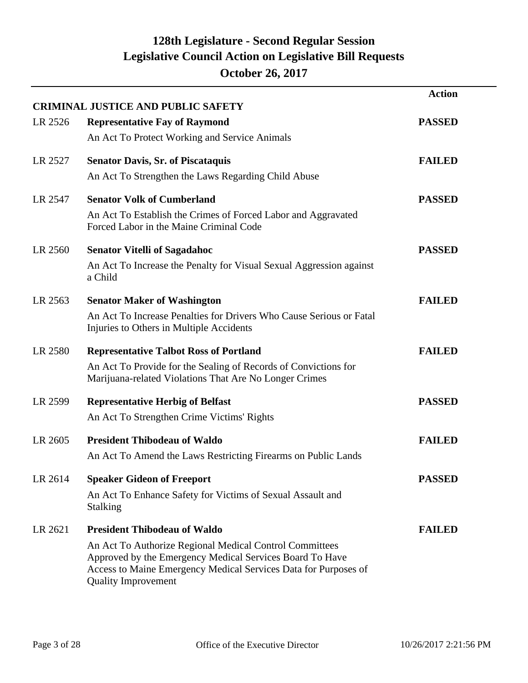|         |                                                                                                                                                                                                                      | <b>Action</b> |
|---------|----------------------------------------------------------------------------------------------------------------------------------------------------------------------------------------------------------------------|---------------|
|         | <b>CRIMINAL JUSTICE AND PUBLIC SAFETY</b>                                                                                                                                                                            |               |
| LR 2526 | <b>Representative Fay of Raymond</b>                                                                                                                                                                                 | <b>PASSED</b> |
|         | An Act To Protect Working and Service Animals                                                                                                                                                                        |               |
| LR 2527 | <b>Senator Davis, Sr. of Piscataquis</b>                                                                                                                                                                             | <b>FAILED</b> |
|         | An Act To Strengthen the Laws Regarding Child Abuse                                                                                                                                                                  |               |
| LR 2547 | <b>Senator Volk of Cumberland</b>                                                                                                                                                                                    | <b>PASSED</b> |
|         | An Act To Establish the Crimes of Forced Labor and Aggravated<br>Forced Labor in the Maine Criminal Code                                                                                                             |               |
| LR 2560 | <b>Senator Vitelli of Sagadahoc</b>                                                                                                                                                                                  | <b>PASSED</b> |
|         | An Act To Increase the Penalty for Visual Sexual Aggression against<br>a Child                                                                                                                                       |               |
| LR 2563 | <b>Senator Maker of Washington</b>                                                                                                                                                                                   | <b>FAILED</b> |
|         | An Act To Increase Penalties for Drivers Who Cause Serious or Fatal<br>Injuries to Others in Multiple Accidents                                                                                                      |               |
| LR 2580 | <b>Representative Talbot Ross of Portland</b>                                                                                                                                                                        | <b>FAILED</b> |
|         | An Act To Provide for the Sealing of Records of Convictions for<br>Marijuana-related Violations That Are No Longer Crimes                                                                                            |               |
| LR 2599 | <b>Representative Herbig of Belfast</b>                                                                                                                                                                              | <b>PASSED</b> |
|         | An Act To Strengthen Crime Victims' Rights                                                                                                                                                                           |               |
| LR 2605 | <b>President Thibodeau of Waldo</b>                                                                                                                                                                                  | <b>FAILED</b> |
|         | An Act To Amend the Laws Restricting Firearms on Public Lands                                                                                                                                                        |               |
| LR 2614 | <b>Speaker Gideon of Freeport</b>                                                                                                                                                                                    | <b>PASSED</b> |
|         | An Act To Enhance Safety for Victims of Sexual Assault and<br><b>Stalking</b>                                                                                                                                        |               |
| LR 2621 | <b>President Thibodeau of Waldo</b>                                                                                                                                                                                  | <b>FAILED</b> |
|         | An Act To Authorize Regional Medical Control Committees<br>Approved by the Emergency Medical Services Board To Have<br>Access to Maine Emergency Medical Services Data for Purposes of<br><b>Quality Improvement</b> |               |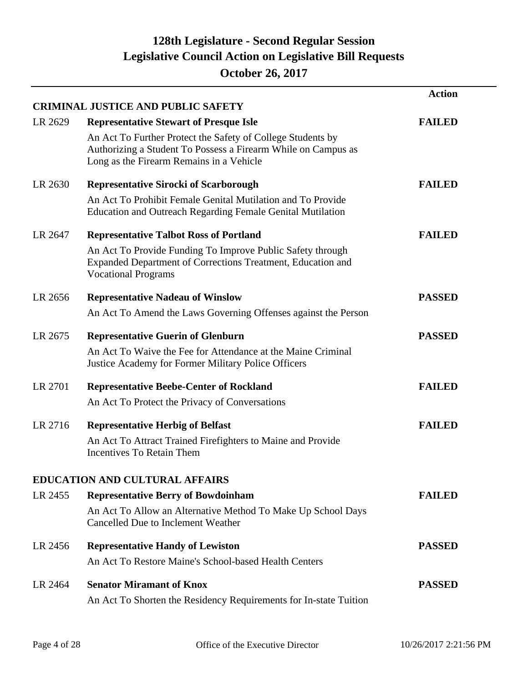|         | <b>CRIMINAL JUSTICE AND PUBLIC SAFETY</b>                                                                                                                                | <b>Action</b> |
|---------|--------------------------------------------------------------------------------------------------------------------------------------------------------------------------|---------------|
| LR 2629 | <b>Representative Stewart of Presque Isle</b>                                                                                                                            | <b>FAILED</b> |
|         | An Act To Further Protect the Safety of College Students by<br>Authorizing a Student To Possess a Firearm While on Campus as<br>Long as the Firearm Remains in a Vehicle |               |
| LR 2630 | <b>Representative Sirocki of Scarborough</b>                                                                                                                             | <b>FAILED</b> |
|         | An Act To Prohibit Female Genital Mutilation and To Provide<br><b>Education and Outreach Regarding Female Genital Mutilation</b>                                         |               |
| LR 2647 | <b>Representative Talbot Ross of Portland</b>                                                                                                                            | <b>FAILED</b> |
|         | An Act To Provide Funding To Improve Public Safety through<br>Expanded Department of Corrections Treatment, Education and<br><b>Vocational Programs</b>                  |               |
| LR 2656 | <b>Representative Nadeau of Winslow</b>                                                                                                                                  | <b>PASSED</b> |
|         | An Act To Amend the Laws Governing Offenses against the Person                                                                                                           |               |
| LR 2675 | <b>Representative Guerin of Glenburn</b>                                                                                                                                 | <b>PASSED</b> |
|         | An Act To Waive the Fee for Attendance at the Maine Criminal<br>Justice Academy for Former Military Police Officers                                                      |               |
| LR 2701 | <b>Representative Beebe-Center of Rockland</b>                                                                                                                           | <b>FAILED</b> |
|         | An Act To Protect the Privacy of Conversations                                                                                                                           |               |
| LR 2716 | <b>Representative Herbig of Belfast</b>                                                                                                                                  | <b>FAILED</b> |
|         | An Act To Attract Trained Firefighters to Maine and Provide<br>Incentives To Retain Them                                                                                 |               |
|         | <b>EDUCATION AND CULTURAL AFFAIRS</b>                                                                                                                                    |               |
| LR 2455 | <b>Representative Berry of Bowdoinham</b>                                                                                                                                | <b>FAILED</b> |
|         | An Act To Allow an Alternative Method To Make Up School Days<br>Cancelled Due to Inclement Weather                                                                       |               |
| LR 2456 | <b>Representative Handy of Lewiston</b>                                                                                                                                  | <b>PASSED</b> |
|         | An Act To Restore Maine's School-based Health Centers                                                                                                                    |               |
| LR 2464 | <b>Senator Miramant of Knox</b>                                                                                                                                          | <b>PASSED</b> |
|         | An Act To Shorten the Residency Requirements for In-state Tuition                                                                                                        |               |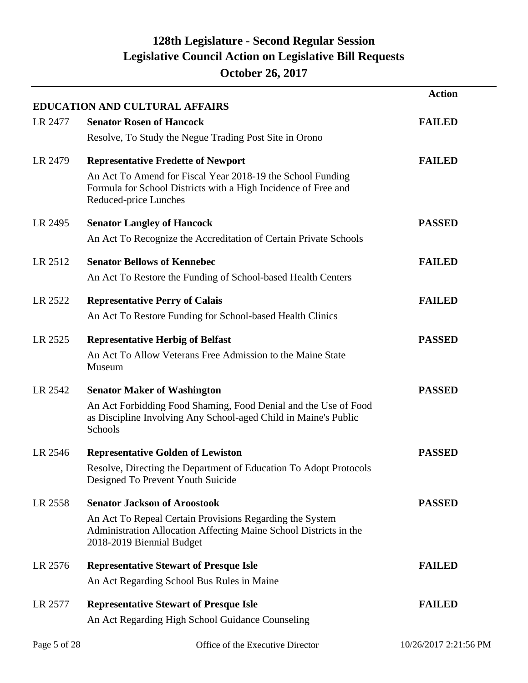|              |                                                                                                                                                            | <b>Action</b>         |
|--------------|------------------------------------------------------------------------------------------------------------------------------------------------------------|-----------------------|
| LR 2477      | <b>EDUCATION AND CULTURAL AFFAIRS</b><br><b>Senator Rosen of Hancock</b>                                                                                   | <b>FAILED</b>         |
|              | Resolve, To Study the Negue Trading Post Site in Orono                                                                                                     |                       |
| LR 2479      | <b>Representative Fredette of Newport</b>                                                                                                                  | <b>FAILED</b>         |
|              | An Act To Amend for Fiscal Year 2018-19 the School Funding<br>Formula for School Districts with a High Incidence of Free and<br>Reduced-price Lunches      |                       |
| LR 2495      | <b>Senator Langley of Hancock</b>                                                                                                                          | <b>PASSED</b>         |
|              | An Act To Recognize the Accreditation of Certain Private Schools                                                                                           |                       |
| LR 2512      | <b>Senator Bellows of Kennebec</b>                                                                                                                         | <b>FAILED</b>         |
|              | An Act To Restore the Funding of School-based Health Centers                                                                                               |                       |
| LR 2522      | <b>Representative Perry of Calais</b>                                                                                                                      | <b>FAILED</b>         |
|              | An Act To Restore Funding for School-based Health Clinics                                                                                                  |                       |
| LR 2525      | <b>Representative Herbig of Belfast</b>                                                                                                                    | <b>PASSED</b>         |
|              | An Act To Allow Veterans Free Admission to the Maine State<br>Museum                                                                                       |                       |
| LR 2542      | <b>Senator Maker of Washington</b>                                                                                                                         | <b>PASSED</b>         |
|              | An Act Forbidding Food Shaming, Food Denial and the Use of Food<br>as Discipline Involving Any School-aged Child in Maine's Public<br>Schools              |                       |
| LR 2546      | <b>Representative Golden of Lewiston</b>                                                                                                                   | <b>PASSED</b>         |
|              | Resolve, Directing the Department of Education To Adopt Protocols<br>Designed To Prevent Youth Suicide                                                     |                       |
| LR 2558      | <b>Senator Jackson of Aroostook</b>                                                                                                                        | <b>PASSED</b>         |
|              | An Act To Repeal Certain Provisions Regarding the System<br>Administration Allocation Affecting Maine School Districts in the<br>2018-2019 Biennial Budget |                       |
| LR 2576      | <b>Representative Stewart of Presque Isle</b>                                                                                                              | <b>FAILED</b>         |
|              | An Act Regarding School Bus Rules in Maine                                                                                                                 |                       |
| LR 2577      | <b>Representative Stewart of Presque Isle</b>                                                                                                              | <b>FAILED</b>         |
|              | An Act Regarding High School Guidance Counseling                                                                                                           |                       |
| Page 5 of 28 | Office of the Executive Director                                                                                                                           | 10/26/2017 2:21:56 PM |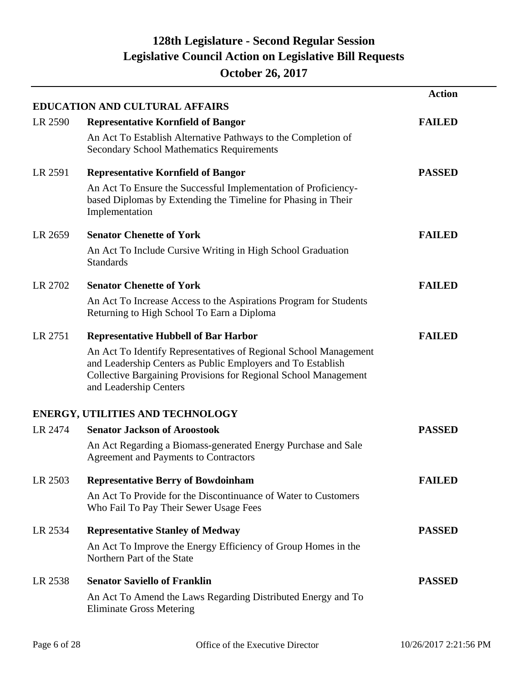|         |                                                                                                                                                                                                                              | <b>Action</b> |
|---------|------------------------------------------------------------------------------------------------------------------------------------------------------------------------------------------------------------------------------|---------------|
|         | <b>EDUCATION AND CULTURAL AFFAIRS</b>                                                                                                                                                                                        |               |
| LR 2590 | <b>Representative Kornfield of Bangor</b>                                                                                                                                                                                    | <b>FAILED</b> |
|         | An Act To Establish Alternative Pathways to the Completion of<br><b>Secondary School Mathematics Requirements</b>                                                                                                            |               |
| LR 2591 | <b>Representative Kornfield of Bangor</b>                                                                                                                                                                                    | <b>PASSED</b> |
|         | An Act To Ensure the Successful Implementation of Proficiency-<br>based Diplomas by Extending the Timeline for Phasing in Their<br>Implementation                                                                            |               |
| LR 2659 | <b>Senator Chenette of York</b>                                                                                                                                                                                              | <b>FAILED</b> |
|         | An Act To Include Cursive Writing in High School Graduation<br><b>Standards</b>                                                                                                                                              |               |
| LR 2702 | <b>Senator Chenette of York</b>                                                                                                                                                                                              | <b>FAILED</b> |
|         | An Act To Increase Access to the Aspirations Program for Students<br>Returning to High School To Earn a Diploma                                                                                                              |               |
| LR 2751 | <b>Representative Hubbell of Bar Harbor</b>                                                                                                                                                                                  | <b>FAILED</b> |
|         | An Act To Identify Representatives of Regional School Management<br>and Leadership Centers as Public Employers and To Establish<br>Collective Bargaining Provisions for Regional School Management<br>and Leadership Centers |               |
|         | <b>ENERGY, UTILITIES AND TECHNOLOGY</b>                                                                                                                                                                                      |               |
| LR 2474 | <b>Senator Jackson of Aroostook</b>                                                                                                                                                                                          | <b>PASSED</b> |
|         | An Act Regarding a Biomass-generated Energy Purchase and Sale<br><b>Agreement and Payments to Contractors</b>                                                                                                                |               |
| LR 2503 | <b>Representative Berry of Bowdoinham</b>                                                                                                                                                                                    | <b>FAILED</b> |
|         | An Act To Provide for the Discontinuance of Water to Customers<br>Who Fail To Pay Their Sewer Usage Fees                                                                                                                     |               |
| LR 2534 | <b>Representative Stanley of Medway</b>                                                                                                                                                                                      | <b>PASSED</b> |
|         | An Act To Improve the Energy Efficiency of Group Homes in the<br>Northern Part of the State                                                                                                                                  |               |
| LR 2538 | <b>Senator Saviello of Franklin</b>                                                                                                                                                                                          | <b>PASSED</b> |
|         | An Act To Amend the Laws Regarding Distributed Energy and To<br><b>Eliminate Gross Metering</b>                                                                                                                              |               |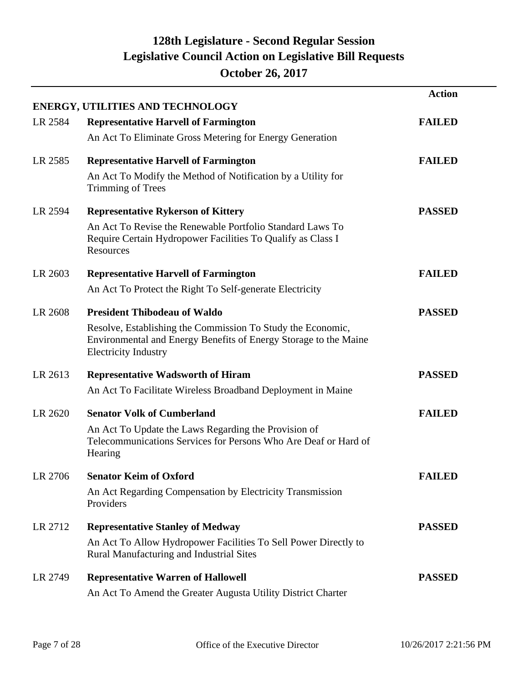|         |                                                                                                                                                                | <b>Action</b> |
|---------|----------------------------------------------------------------------------------------------------------------------------------------------------------------|---------------|
| LR 2584 | <b>ENERGY, UTILITIES AND TECHNOLOGY</b><br><b>Representative Harvell of Farmington</b>                                                                         | <b>FAILED</b> |
|         | An Act To Eliminate Gross Metering for Energy Generation                                                                                                       |               |
| LR 2585 | <b>Representative Harvell of Farmington</b>                                                                                                                    | <b>FAILED</b> |
|         | An Act To Modify the Method of Notification by a Utility for<br>Trimming of Trees                                                                              |               |
| LR 2594 | <b>Representative Rykerson of Kittery</b>                                                                                                                      | <b>PASSED</b> |
|         | An Act To Revise the Renewable Portfolio Standard Laws To<br>Require Certain Hydropower Facilities To Qualify as Class I<br>Resources                          |               |
| LR 2603 | <b>Representative Harvell of Farmington</b>                                                                                                                    | <b>FAILED</b> |
|         | An Act To Protect the Right To Self-generate Electricity                                                                                                       |               |
| LR 2608 | <b>President Thibodeau of Waldo</b>                                                                                                                            | <b>PASSED</b> |
|         | Resolve, Establishing the Commission To Study the Economic,<br>Environmental and Energy Benefits of Energy Storage to the Maine<br><b>Electricity Industry</b> |               |
| LR 2613 | <b>Representative Wadsworth of Hiram</b>                                                                                                                       | <b>PASSED</b> |
|         | An Act To Facilitate Wireless Broadband Deployment in Maine                                                                                                    |               |
| LR 2620 | <b>Senator Volk of Cumberland</b>                                                                                                                              | <b>FAILED</b> |
|         | An Act To Update the Laws Regarding the Provision of<br>Telecommunications Services for Persons Who Are Deaf or Hard of<br>Hearing                             |               |
| LR 2706 | <b>Senator Keim of Oxford</b>                                                                                                                                  | <b>FAILED</b> |
|         | An Act Regarding Compensation by Electricity Transmission<br>Providers                                                                                         |               |
| LR 2712 | <b>Representative Stanley of Medway</b>                                                                                                                        | <b>PASSED</b> |
|         | An Act To Allow Hydropower Facilities To Sell Power Directly to<br>Rural Manufacturing and Industrial Sites                                                    |               |
| LR 2749 | <b>Representative Warren of Hallowell</b>                                                                                                                      | <b>PASSED</b> |
|         | An Act To Amend the Greater Augusta Utility District Charter                                                                                                   |               |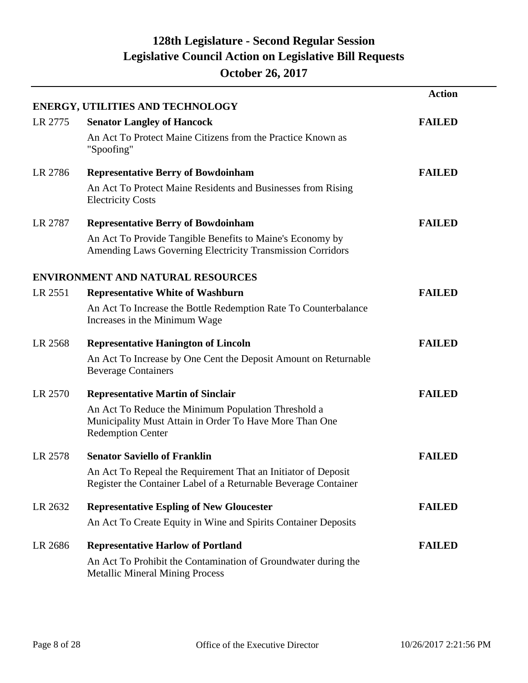|         |                                                                                                                         | <b>Action</b> |
|---------|-------------------------------------------------------------------------------------------------------------------------|---------------|
|         | <b>ENERGY, UTILITIES AND TECHNOLOGY</b>                                                                                 |               |
| LR 2775 | <b>Senator Langley of Hancock</b>                                                                                       | <b>FAILED</b> |
|         | An Act To Protect Maine Citizens from the Practice Known as<br>"Spoofing"                                               |               |
| LR 2786 | <b>Representative Berry of Bowdoinham</b>                                                                               | <b>FAILED</b> |
|         | An Act To Protect Maine Residents and Businesses from Rising<br><b>Electricity Costs</b>                                |               |
| LR 2787 | <b>Representative Berry of Bowdoinham</b>                                                                               | <b>FAILED</b> |
|         | An Act To Provide Tangible Benefits to Maine's Economy by<br>Amending Laws Governing Electricity Transmission Corridors |               |
|         | <b>ENVIRONMENT AND NATURAL RESOURCES</b>                                                                                |               |
| LR 2551 | <b>Representative White of Washburn</b>                                                                                 | <b>FAILED</b> |
|         | An Act To Increase the Bottle Redemption Rate To Counterbalance                                                         |               |
|         | Increases in the Minimum Wage                                                                                           |               |
| LR 2568 | <b>Representative Hanington of Lincoln</b>                                                                              | <b>FAILED</b> |
|         | An Act To Increase by One Cent the Deposit Amount on Returnable<br><b>Beverage Containers</b>                           |               |
| LR 2570 | <b>Representative Martin of Sinclair</b>                                                                                | <b>FAILED</b> |
|         | An Act To Reduce the Minimum Population Threshold a                                                                     |               |
|         | Municipality Must Attain in Order To Have More Than One<br><b>Redemption Center</b>                                     |               |
| LR 2578 | <b>Senator Saviello of Franklin</b>                                                                                     | <b>FAILED</b> |
|         | An Act To Repeal the Requirement That an Initiator of Deposit                                                           |               |
|         | Register the Container Label of a Returnable Beverage Container                                                         |               |
| LR 2632 | <b>Representative Espling of New Gloucester</b>                                                                         | <b>FAILED</b> |
|         | An Act To Create Equity in Wine and Spirits Container Deposits                                                          |               |
| LR 2686 | <b>Representative Harlow of Portland</b>                                                                                | <b>FAILED</b> |
|         | An Act To Prohibit the Contamination of Groundwater during the<br><b>Metallic Mineral Mining Process</b>                |               |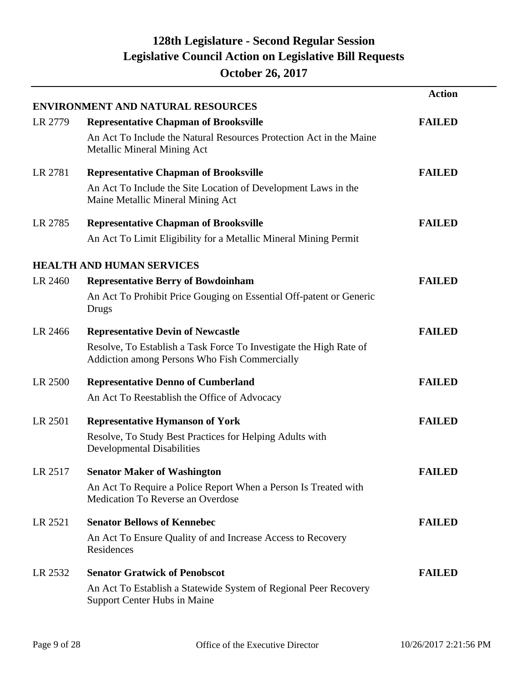|         |                                                                                                                     | <b>Action</b> |
|---------|---------------------------------------------------------------------------------------------------------------------|---------------|
|         | <b>ENVIRONMENT AND NATURAL RESOURCES</b>                                                                            |               |
| LR 2779 | <b>Representative Chapman of Brooksville</b>                                                                        | <b>FAILED</b> |
|         | An Act To Include the Natural Resources Protection Act in the Maine<br><b>Metallic Mineral Mining Act</b>           |               |
| LR 2781 | <b>Representative Chapman of Brooksville</b>                                                                        | <b>FAILED</b> |
|         | An Act To Include the Site Location of Development Laws in the<br>Maine Metallic Mineral Mining Act                 |               |
| LR 2785 | <b>Representative Chapman of Brooksville</b>                                                                        | <b>FAILED</b> |
|         | An Act To Limit Eligibility for a Metallic Mineral Mining Permit                                                    |               |
|         | <b>HEALTH AND HUMAN SERVICES</b>                                                                                    |               |
| LR 2460 | <b>Representative Berry of Bowdoinham</b>                                                                           | <b>FAILED</b> |
|         | An Act To Prohibit Price Gouging on Essential Off-patent or Generic<br>Drugs                                        |               |
| LR 2466 | <b>Representative Devin of Newcastle</b>                                                                            | <b>FAILED</b> |
|         | Resolve, To Establish a Task Force To Investigate the High Rate of<br>Addiction among Persons Who Fish Commercially |               |
| LR 2500 | <b>Representative Denno of Cumberland</b>                                                                           | <b>FAILED</b> |
|         | An Act To Reestablish the Office of Advocacy                                                                        |               |
| LR 2501 | <b>Representative Hymanson of York</b>                                                                              | <b>FAILED</b> |
|         | Resolve, To Study Best Practices for Helping Adults with<br><b>Developmental Disabilities</b>                       |               |
| LR 2517 | <b>Senator Maker of Washington</b>                                                                                  | <b>FAILED</b> |
|         | An Act To Require a Police Report When a Person Is Treated with<br>Medication To Reverse an Overdose                |               |
| LR 2521 | <b>Senator Bellows of Kennebec</b>                                                                                  | <b>FAILED</b> |
|         | An Act To Ensure Quality of and Increase Access to Recovery<br>Residences                                           |               |
| LR 2532 | <b>Senator Gratwick of Penobscot</b>                                                                                | <b>FAILED</b> |
|         | An Act To Establish a Statewide System of Regional Peer Recovery<br><b>Support Center Hubs in Maine</b>             |               |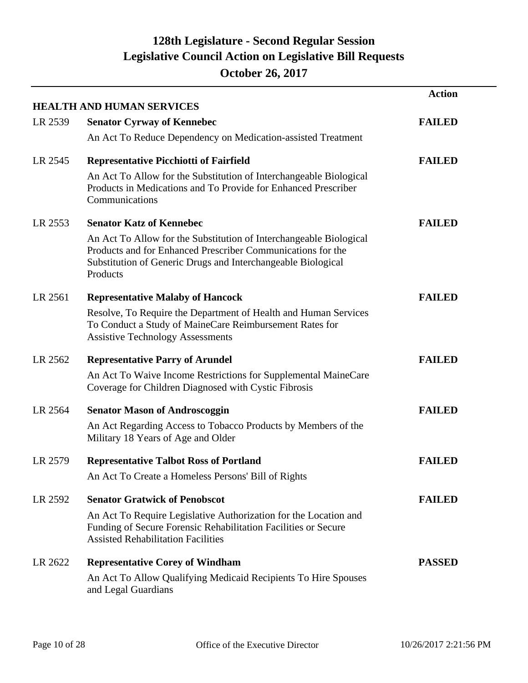|         |                                                                                                                                                                                                               | <b>Action</b> |
|---------|---------------------------------------------------------------------------------------------------------------------------------------------------------------------------------------------------------------|---------------|
| LR 2539 | <b>HEALTH AND HUMAN SERVICES</b><br><b>Senator Cyrway of Kennebec</b>                                                                                                                                         | <b>FAILED</b> |
|         | An Act To Reduce Dependency on Medication-assisted Treatment                                                                                                                                                  |               |
|         |                                                                                                                                                                                                               |               |
| LR 2545 | <b>Representative Picchiotti of Fairfield</b>                                                                                                                                                                 | <b>FAILED</b> |
|         | An Act To Allow for the Substitution of Interchangeable Biological<br>Products in Medications and To Provide for Enhanced Prescriber<br>Communications                                                        |               |
| LR 2553 | <b>Senator Katz of Kennebec</b>                                                                                                                                                                               | <b>FAILED</b> |
|         | An Act To Allow for the Substitution of Interchangeable Biological<br>Products and for Enhanced Prescriber Communications for the<br>Substitution of Generic Drugs and Interchangeable Biological<br>Products |               |
| LR 2561 | <b>Representative Malaby of Hancock</b>                                                                                                                                                                       | <b>FAILED</b> |
|         | Resolve, To Require the Department of Health and Human Services<br>To Conduct a Study of MaineCare Reimbursement Rates for<br><b>Assistive Technology Assessments</b>                                         |               |
| LR 2562 | <b>Representative Parry of Arundel</b>                                                                                                                                                                        | <b>FAILED</b> |
|         | An Act To Waive Income Restrictions for Supplemental MaineCare<br>Coverage for Children Diagnosed with Cystic Fibrosis                                                                                        |               |
| LR 2564 | <b>Senator Mason of Androscoggin</b>                                                                                                                                                                          | <b>FAILED</b> |
|         | An Act Regarding Access to Tobacco Products by Members of the<br>Military 18 Years of Age and Older                                                                                                           |               |
| LR 2579 | <b>Representative Talbot Ross of Portland</b>                                                                                                                                                                 | <b>FAILED</b> |
|         | An Act To Create a Homeless Persons' Bill of Rights                                                                                                                                                           |               |
| LR 2592 | <b>Senator Gratwick of Penobscot</b>                                                                                                                                                                          | <b>FAILED</b> |
|         | An Act To Require Legislative Authorization for the Location and<br>Funding of Secure Forensic Rehabilitation Facilities or Secure<br><b>Assisted Rehabilitation Facilities</b>                               |               |
| LR 2622 | <b>Representative Corey of Windham</b>                                                                                                                                                                        | <b>PASSED</b> |
|         | An Act To Allow Qualifying Medicaid Recipients To Hire Spouses<br>and Legal Guardians                                                                                                                         |               |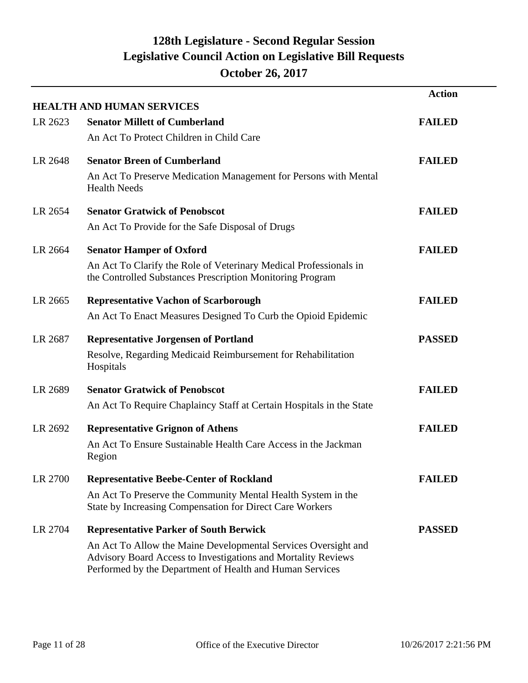|         | <b>HEALTH AND HUMAN SERVICES</b>                                                                                                                                                            | <b>Action</b> |
|---------|---------------------------------------------------------------------------------------------------------------------------------------------------------------------------------------------|---------------|
| LR 2623 | <b>Senator Millett of Cumberland</b>                                                                                                                                                        | <b>FAILED</b> |
|         | An Act To Protect Children in Child Care                                                                                                                                                    |               |
| LR 2648 | <b>Senator Breen of Cumberland</b>                                                                                                                                                          | <b>FAILED</b> |
|         | An Act To Preserve Medication Management for Persons with Mental<br><b>Health Needs</b>                                                                                                     |               |
| LR 2654 | <b>Senator Gratwick of Penobscot</b>                                                                                                                                                        | <b>FAILED</b> |
|         | An Act To Provide for the Safe Disposal of Drugs                                                                                                                                            |               |
| LR 2664 | <b>Senator Hamper of Oxford</b>                                                                                                                                                             | <b>FAILED</b> |
|         | An Act To Clarify the Role of Veterinary Medical Professionals in<br>the Controlled Substances Prescription Monitoring Program                                                              |               |
| LR 2665 | <b>Representative Vachon of Scarborough</b>                                                                                                                                                 | <b>FAILED</b> |
|         | An Act To Enact Measures Designed To Curb the Opioid Epidemic                                                                                                                               |               |
| LR 2687 | <b>Representative Jorgensen of Portland</b>                                                                                                                                                 | <b>PASSED</b> |
|         | Resolve, Regarding Medicaid Reimbursement for Rehabilitation<br>Hospitals                                                                                                                   |               |
| LR 2689 | <b>Senator Gratwick of Penobscot</b>                                                                                                                                                        | <b>FAILED</b> |
|         | An Act To Require Chaplaincy Staff at Certain Hospitals in the State                                                                                                                        |               |
| LR 2692 | <b>Representative Grignon of Athens</b>                                                                                                                                                     | <b>FAILED</b> |
|         | An Act To Ensure Sustainable Health Care Access in the Jackman<br>Region                                                                                                                    |               |
| LR 2700 | <b>Representative Beebe-Center of Rockland</b>                                                                                                                                              | <b>FAILED</b> |
|         | An Act To Preserve the Community Mental Health System in the<br>State by Increasing Compensation for Direct Care Workers                                                                    |               |
| LR 2704 | <b>Representative Parker of South Berwick</b>                                                                                                                                               | <b>PASSED</b> |
|         | An Act To Allow the Maine Developmental Services Oversight and<br>Advisory Board Access to Investigations and Mortality Reviews<br>Performed by the Department of Health and Human Services |               |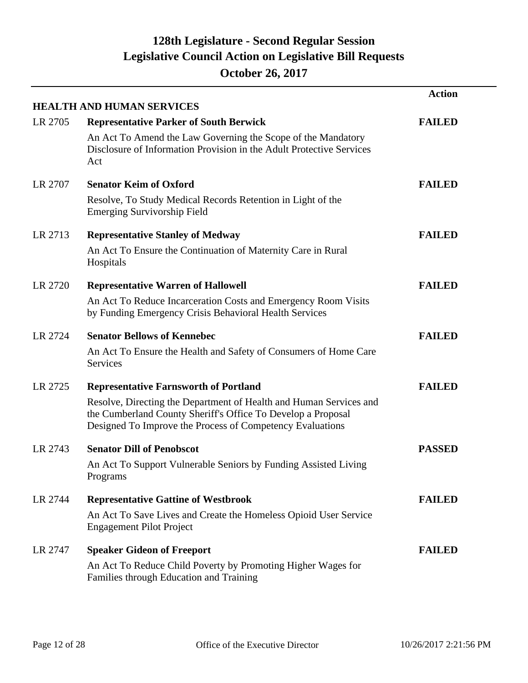|         | <b>HEALTH AND HUMAN SERVICES</b>                                                                                                                                                                | <b>Action</b> |
|---------|-------------------------------------------------------------------------------------------------------------------------------------------------------------------------------------------------|---------------|
| LR 2705 | <b>Representative Parker of South Berwick</b>                                                                                                                                                   | <b>FAILED</b> |
|         | An Act To Amend the Law Governing the Scope of the Mandatory<br>Disclosure of Information Provision in the Adult Protective Services<br>Act                                                     |               |
| LR 2707 | <b>Senator Keim of Oxford</b>                                                                                                                                                                   | <b>FAILED</b> |
|         | Resolve, To Study Medical Records Retention in Light of the<br><b>Emerging Survivorship Field</b>                                                                                               |               |
| LR 2713 | <b>Representative Stanley of Medway</b>                                                                                                                                                         | <b>FAILED</b> |
|         | An Act To Ensure the Continuation of Maternity Care in Rural<br>Hospitals                                                                                                                       |               |
| LR 2720 | <b>Representative Warren of Hallowell</b>                                                                                                                                                       | <b>FAILED</b> |
|         | An Act To Reduce Incarceration Costs and Emergency Room Visits<br>by Funding Emergency Crisis Behavioral Health Services                                                                        |               |
| LR 2724 | <b>Senator Bellows of Kennebec</b>                                                                                                                                                              | <b>FAILED</b> |
|         | An Act To Ensure the Health and Safety of Consumers of Home Care<br>Services                                                                                                                    |               |
| LR 2725 | <b>Representative Farnsworth of Portland</b>                                                                                                                                                    | <b>FAILED</b> |
|         | Resolve, Directing the Department of Health and Human Services and<br>the Cumberland County Sheriff's Office To Develop a Proposal<br>Designed To Improve the Process of Competency Evaluations |               |
| LR 2743 | <b>Senator Dill of Penobscot</b>                                                                                                                                                                | <b>PASSED</b> |
|         | An Act To Support Vulnerable Seniors by Funding Assisted Living<br>Programs                                                                                                                     |               |
| LR 2744 | <b>Representative Gattine of Westbrook</b>                                                                                                                                                      | <b>FAILED</b> |
|         | An Act To Save Lives and Create the Homeless Opioid User Service<br><b>Engagement Pilot Project</b>                                                                                             |               |
| LR 2747 | <b>Speaker Gideon of Freeport</b>                                                                                                                                                               | <b>FAILED</b> |
|         | An Act To Reduce Child Poverty by Promoting Higher Wages for<br>Families through Education and Training                                                                                         |               |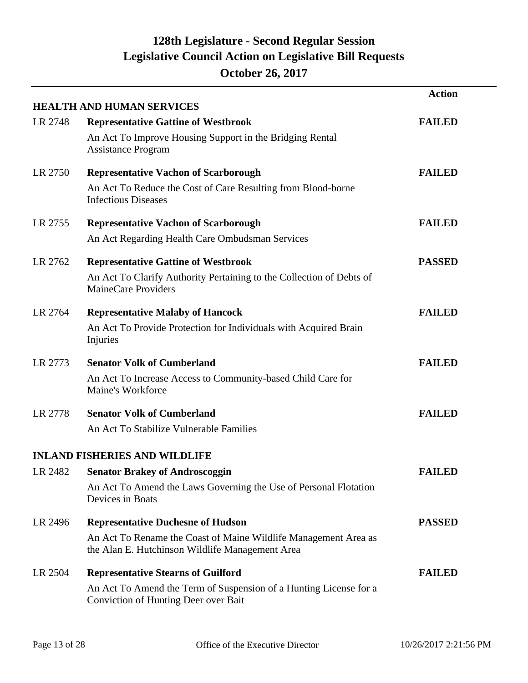|         | <b>HEALTH AND HUMAN SERVICES</b>                                                                                   | <b>Action</b> |
|---------|--------------------------------------------------------------------------------------------------------------------|---------------|
| LR 2748 | <b>Representative Gattine of Westbrook</b>                                                                         | <b>FAILED</b> |
|         | An Act To Improve Housing Support in the Bridging Rental<br><b>Assistance Program</b>                              |               |
| LR 2750 | <b>Representative Vachon of Scarborough</b>                                                                        | <b>FAILED</b> |
|         | An Act To Reduce the Cost of Care Resulting from Blood-borne<br><b>Infectious Diseases</b>                         |               |
| LR 2755 | <b>Representative Vachon of Scarborough</b>                                                                        | <b>FAILED</b> |
|         | An Act Regarding Health Care Ombudsman Services                                                                    |               |
| LR 2762 | <b>Representative Gattine of Westbrook</b>                                                                         | <b>PASSED</b> |
|         | An Act To Clarify Authority Pertaining to the Collection of Debts of<br>MaineCare Providers                        |               |
| LR 2764 | <b>Representative Malaby of Hancock</b>                                                                            | <b>FAILED</b> |
|         | An Act To Provide Protection for Individuals with Acquired Brain<br>Injuries                                       |               |
| LR 2773 | <b>Senator Volk of Cumberland</b>                                                                                  | <b>FAILED</b> |
|         | An Act To Increase Access to Community-based Child Care for<br>Maine's Workforce                                   |               |
| LR 2778 | <b>Senator Volk of Cumberland</b>                                                                                  | <b>FAILED</b> |
|         | An Act To Stabilize Vulnerable Families                                                                            |               |
|         | <b>INLAND FISHERIES AND WILDLIFE</b>                                                                               |               |
|         | LR 2482 Senator Brakey of Androscoggin                                                                             | <b>FAILED</b> |
|         | An Act To Amend the Laws Governing the Use of Personal Flotation<br>Devices in Boats                               |               |
| LR 2496 | <b>Representative Duchesne of Hudson</b>                                                                           | <b>PASSED</b> |
|         | An Act To Rename the Coast of Maine Wildlife Management Area as<br>the Alan E. Hutchinson Wildlife Management Area |               |
| LR 2504 | <b>Representative Stearns of Guilford</b>                                                                          | <b>FAILED</b> |
|         | An Act To Amend the Term of Suspension of a Hunting License for a<br>Conviction of Hunting Deer over Bait          |               |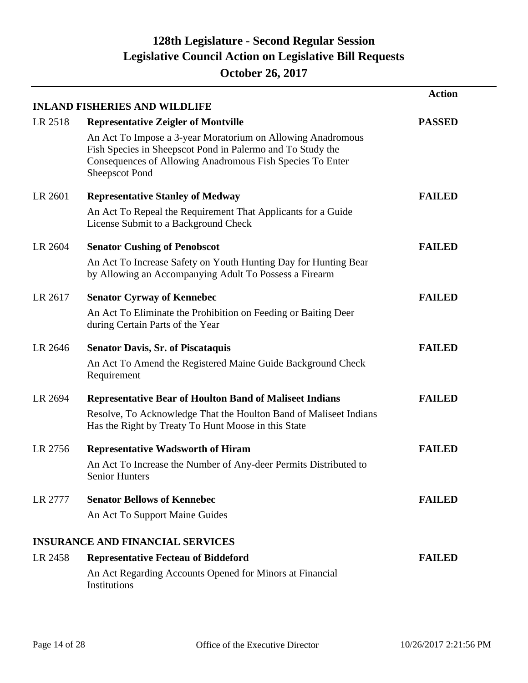|         |                                                                                                                                                                                                                 | <b>Action</b> |
|---------|-----------------------------------------------------------------------------------------------------------------------------------------------------------------------------------------------------------------|---------------|
|         | <b>INLAND FISHERIES AND WILDLIFE</b>                                                                                                                                                                            |               |
| LR 2518 | <b>Representative Zeigler of Montville</b>                                                                                                                                                                      | <b>PASSED</b> |
|         | An Act To Impose a 3-year Moratorium on Allowing Anadromous<br>Fish Species in Sheepscot Pond in Palermo and To Study the<br>Consequences of Allowing Anadromous Fish Species To Enter<br><b>Sheepscot Pond</b> |               |
| LR 2601 | <b>Representative Stanley of Medway</b>                                                                                                                                                                         | <b>FAILED</b> |
|         | An Act To Repeal the Requirement That Applicants for a Guide<br>License Submit to a Background Check                                                                                                            |               |
| LR 2604 | <b>Senator Cushing of Penobscot</b>                                                                                                                                                                             | <b>FAILED</b> |
|         | An Act To Increase Safety on Youth Hunting Day for Hunting Bear<br>by Allowing an Accompanying Adult To Possess a Firearm                                                                                       |               |
| LR 2617 | <b>Senator Cyrway of Kennebec</b>                                                                                                                                                                               | <b>FAILED</b> |
|         | An Act To Eliminate the Prohibition on Feeding or Baiting Deer<br>during Certain Parts of the Year                                                                                                              |               |
| LR 2646 | <b>Senator Davis, Sr. of Piscataquis</b>                                                                                                                                                                        | <b>FAILED</b> |
|         | An Act To Amend the Registered Maine Guide Background Check<br>Requirement                                                                                                                                      |               |
| LR 2694 | <b>Representative Bear of Houlton Band of Maliseet Indians</b>                                                                                                                                                  | <b>FAILED</b> |
|         | Resolve, To Acknowledge That the Houlton Band of Maliseet Indians<br>Has the Right by Treaty To Hunt Moose in this State                                                                                        |               |
| LR 2756 | <b>Representative Wadsworth of Hiram</b>                                                                                                                                                                        | <b>FAILED</b> |
|         | An Act To Increase the Number of Any-deer Permits Distributed to<br><b>Senior Hunters</b>                                                                                                                       |               |
| LR 2777 | <b>Senator Bellows of Kennebec</b>                                                                                                                                                                              | <b>FAILED</b> |
|         | An Act To Support Maine Guides                                                                                                                                                                                  |               |
|         | <b>INSURANCE AND FINANCIAL SERVICES</b>                                                                                                                                                                         |               |
| LR 2458 | <b>Representative Fecteau of Biddeford</b>                                                                                                                                                                      | <b>FAILED</b> |
|         | An Act Regarding Accounts Opened for Minors at Financial<br>Institutions                                                                                                                                        |               |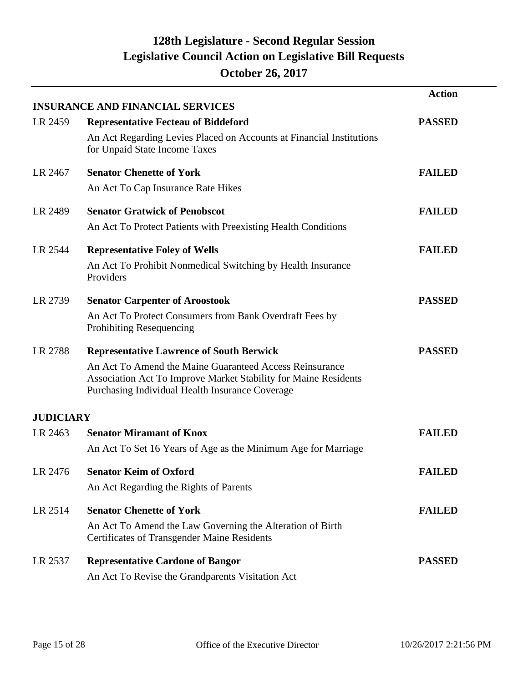|                  |                                                                                                                                                                               | <b>Action</b> |
|------------------|-------------------------------------------------------------------------------------------------------------------------------------------------------------------------------|---------------|
|                  | <b>INSURANCE AND FINANCIAL SERVICES</b>                                                                                                                                       |               |
| LR 2459          | <b>Representative Fecteau of Biddeford</b>                                                                                                                                    | <b>PASSED</b> |
|                  | An Act Regarding Levies Placed on Accounts at Financial Institutions<br>for Unpaid State Income Taxes                                                                         |               |
| LR 2467          | <b>Senator Chenette of York</b>                                                                                                                                               | <b>FAILED</b> |
|                  | An Act To Cap Insurance Rate Hikes                                                                                                                                            |               |
| LR 2489          | <b>Senator Gratwick of Penobscot</b>                                                                                                                                          | <b>FAILED</b> |
|                  | An Act To Protect Patients with Preexisting Health Conditions                                                                                                                 |               |
| LR 2544          | <b>Representative Foley of Wells</b>                                                                                                                                          | <b>FAILED</b> |
|                  | An Act To Prohibit Nonmedical Switching by Health Insurance<br>Providers                                                                                                      |               |
| LR 2739          | <b>Senator Carpenter of Aroostook</b>                                                                                                                                         | <b>PASSED</b> |
|                  | An Act To Protect Consumers from Bank Overdraft Fees by<br>Prohibiting Resequencing                                                                                           |               |
| LR 2788          | <b>Representative Lawrence of South Berwick</b>                                                                                                                               | <b>PASSED</b> |
|                  | An Act To Amend the Maine Guaranteed Access Reinsurance<br>Association Act To Improve Market Stability for Maine Residents<br>Purchasing Individual Health Insurance Coverage |               |
| <b>JUDICIARY</b> |                                                                                                                                                                               |               |
| LR 2463          | <b>Senator Miramant of Knox</b>                                                                                                                                               | <b>FAILED</b> |
|                  | An Act To Set 16 Years of Age as the Minimum Age for Marriage                                                                                                                 |               |
| LR 2476          | <b>Senator Keim of Oxford</b>                                                                                                                                                 | <b>FAILED</b> |
|                  | An Act Regarding the Rights of Parents                                                                                                                                        |               |
| LR 2514          | <b>Senator Chenette of York</b>                                                                                                                                               | <b>FAILED</b> |
|                  | An Act To Amend the Law Governing the Alteration of Birth<br><b>Certificates of Transgender Maine Residents</b>                                                               |               |
| LR 2537          | <b>Representative Cardone of Bangor</b>                                                                                                                                       | <b>PASSED</b> |
|                  | An Act To Revise the Grandparents Visitation Act                                                                                                                              |               |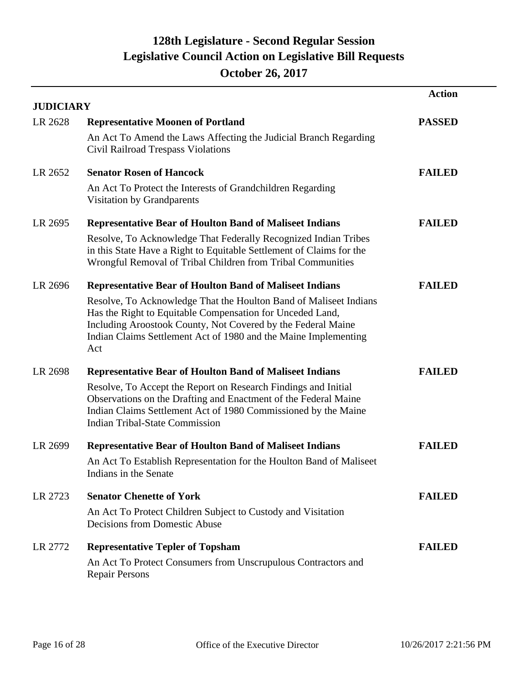|                  |                                                                                                                                                                                                                                                                          | <b>Action</b> |
|------------------|--------------------------------------------------------------------------------------------------------------------------------------------------------------------------------------------------------------------------------------------------------------------------|---------------|
| <b>JUDICIARY</b> |                                                                                                                                                                                                                                                                          |               |
| LR 2628          | <b>Representative Moonen of Portland</b>                                                                                                                                                                                                                                 | <b>PASSED</b> |
|                  | An Act To Amend the Laws Affecting the Judicial Branch Regarding<br>Civil Railroad Trespass Violations                                                                                                                                                                   |               |
| LR 2652          | <b>Senator Rosen of Hancock</b>                                                                                                                                                                                                                                          | <b>FAILED</b> |
|                  | An Act To Protect the Interests of Grandchildren Regarding<br>Visitation by Grandparents                                                                                                                                                                                 |               |
| LR 2695          | <b>Representative Bear of Houlton Band of Maliseet Indians</b>                                                                                                                                                                                                           | <b>FAILED</b> |
|                  | Resolve, To Acknowledge That Federally Recognized Indian Tribes<br>in this State Have a Right to Equitable Settlement of Claims for the<br>Wrongful Removal of Tribal Children from Tribal Communities                                                                   |               |
| LR 2696          | <b>Representative Bear of Houlton Band of Maliseet Indians</b>                                                                                                                                                                                                           | <b>FAILED</b> |
|                  | Resolve, To Acknowledge That the Houlton Band of Maliseet Indians<br>Has the Right to Equitable Compensation for Unceded Land,<br>Including Aroostook County, Not Covered by the Federal Maine<br>Indian Claims Settlement Act of 1980 and the Maine Implementing<br>Act |               |
| LR 2698          | <b>Representative Bear of Houlton Band of Maliseet Indians</b>                                                                                                                                                                                                           | <b>FAILED</b> |
|                  | Resolve, To Accept the Report on Research Findings and Initial<br>Observations on the Drafting and Enactment of the Federal Maine<br>Indian Claims Settlement Act of 1980 Commissioned by the Maine<br><b>Indian Tribal-State Commission</b>                             |               |
| LR 2699          | <b>Representative Bear of Houlton Band of Maliseet Indians</b>                                                                                                                                                                                                           | <b>FAILED</b> |
|                  | An Act To Establish Representation for the Houlton Band of Maliseet<br>Indians in the Senate                                                                                                                                                                             |               |
| LR 2723          | <b>Senator Chenette of York</b>                                                                                                                                                                                                                                          | <b>FAILED</b> |
|                  | An Act To Protect Children Subject to Custody and Visitation<br>Decisions from Domestic Abuse                                                                                                                                                                            |               |
| LR 2772          | <b>Representative Tepler of Topsham</b>                                                                                                                                                                                                                                  | <b>FAILED</b> |
|                  | An Act To Protect Consumers from Unscrupulous Contractors and<br><b>Repair Persons</b>                                                                                                                                                                                   |               |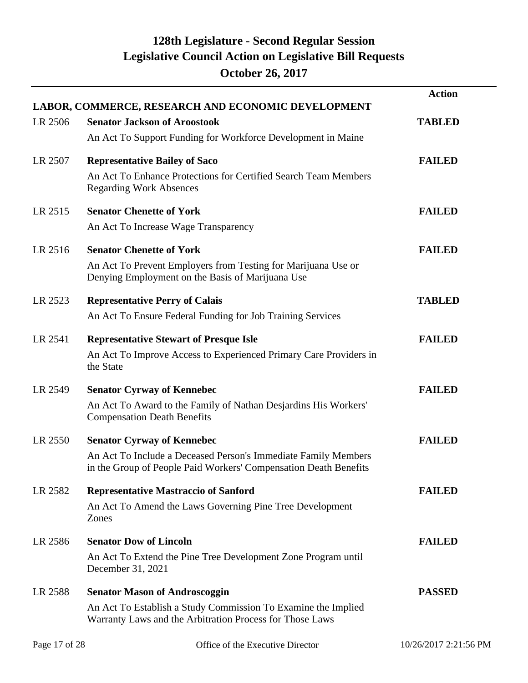|         | LABOR, COMMERCE, RESEARCH AND ECONOMIC DEVELOPMENT                                                                                                                      | <b>Action</b> |
|---------|-------------------------------------------------------------------------------------------------------------------------------------------------------------------------|---------------|
| LR 2506 | <b>Senator Jackson of Aroostook</b><br>An Act To Support Funding for Workforce Development in Maine                                                                     | <b>TABLED</b> |
| LR 2507 | <b>Representative Bailey of Saco</b><br>An Act To Enhance Protections for Certified Search Team Members<br><b>Regarding Work Absences</b>                               | <b>FAILED</b> |
| LR 2515 | <b>Senator Chenette of York</b><br>An Act To Increase Wage Transparency                                                                                                 | <b>FAILED</b> |
| LR 2516 | <b>Senator Chenette of York</b><br>An Act To Prevent Employers from Testing for Marijuana Use or<br>Denying Employment on the Basis of Marijuana Use                    | <b>FAILED</b> |
| LR 2523 | <b>Representative Perry of Calais</b><br>An Act To Ensure Federal Funding for Job Training Services                                                                     | <b>TABLED</b> |
| LR 2541 | <b>Representative Stewart of Presque Isle</b><br>An Act To Improve Access to Experienced Primary Care Providers in<br>the State                                         | <b>FAILED</b> |
| LR 2549 | <b>Senator Cyrway of Kennebec</b><br>An Act To Award to the Family of Nathan Desjardins His Workers'<br><b>Compensation Death Benefits</b>                              | <b>FAILED</b> |
| LR 2550 | <b>Senator Cyrway of Kennebec</b><br>An Act To Include a Deceased Person's Immediate Family Members<br>in the Group of People Paid Workers' Compensation Death Benefits | <b>FAILED</b> |
| LR 2582 | <b>Representative Mastraccio of Sanford</b><br>An Act To Amend the Laws Governing Pine Tree Development<br>Zones                                                        | <b>FAILED</b> |
| LR 2586 | <b>Senator Dow of Lincoln</b><br>An Act To Extend the Pine Tree Development Zone Program until<br>December 31, 2021                                                     | <b>FAILED</b> |
| LR 2588 | <b>Senator Mason of Androscoggin</b><br>An Act To Establish a Study Commission To Examine the Implied<br>Warranty Laws and the Arbitration Process for Those Laws       | <b>PASSED</b> |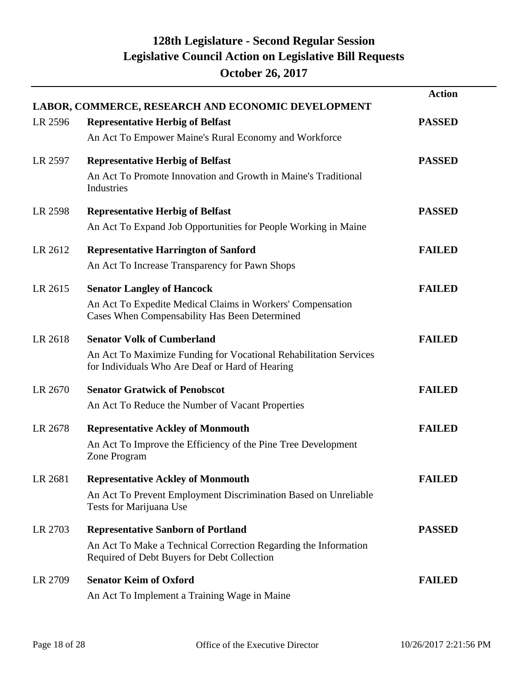|         | LABOR, COMMERCE, RESEARCH AND ECONOMIC DEVELOPMENT                                                                                                          | <b>Action</b> |
|---------|-------------------------------------------------------------------------------------------------------------------------------------------------------------|---------------|
| LR 2596 | <b>Representative Herbig of Belfast</b><br>An Act To Empower Maine's Rural Economy and Workforce                                                            | <b>PASSED</b> |
| LR 2597 | <b>Representative Herbig of Belfast</b><br>An Act To Promote Innovation and Growth in Maine's Traditional<br>Industries                                     | <b>PASSED</b> |
| LR 2598 | <b>Representative Herbig of Belfast</b><br>An Act To Expand Job Opportunities for People Working in Maine                                                   | <b>PASSED</b> |
| LR 2612 | <b>Representative Harrington of Sanford</b><br>An Act To Increase Transparency for Pawn Shops                                                               | <b>FAILED</b> |
| LR 2615 | <b>Senator Langley of Hancock</b><br>An Act To Expedite Medical Claims in Workers' Compensation<br>Cases When Compensability Has Been Determined            | <b>FAILED</b> |
| LR 2618 | <b>Senator Volk of Cumberland</b><br>An Act To Maximize Funding for Vocational Rehabilitation Services<br>for Individuals Who Are Deaf or Hard of Hearing   | <b>FAILED</b> |
| LR 2670 | <b>Senator Gratwick of Penobscot</b><br>An Act To Reduce the Number of Vacant Properties                                                                    | <b>FAILED</b> |
| LR 2678 | <b>Representative Ackley of Monmouth</b><br>An Act To Improve the Efficiency of the Pine Tree Development<br>Zone Program                                   | <b>FAILED</b> |
| LR 2681 | <b>Representative Ackley of Monmouth</b><br>An Act To Prevent Employment Discrimination Based on Unreliable<br>Tests for Marijuana Use                      | <b>FAILED</b> |
| LR 2703 | <b>Representative Sanborn of Portland</b><br>An Act To Make a Technical Correction Regarding the Information<br>Required of Debt Buyers for Debt Collection | <b>PASSED</b> |
| LR 2709 | <b>Senator Keim of Oxford</b><br>An Act To Implement a Training Wage in Maine                                                                               | <b>FAILED</b> |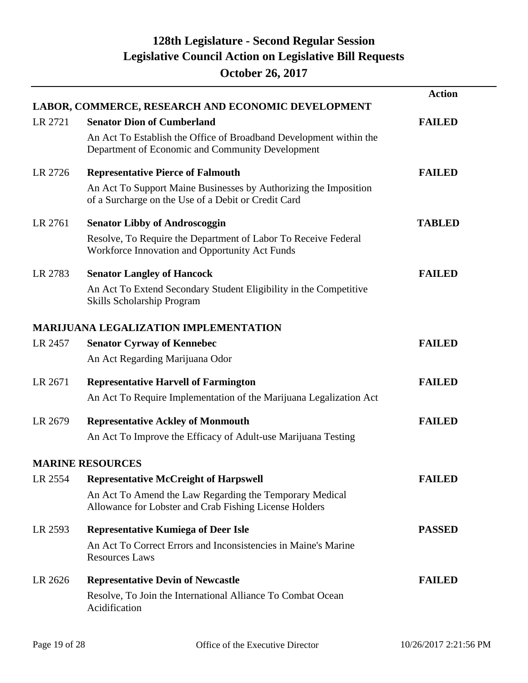|         | LABOR, COMMERCE, RESEARCH AND ECONOMIC DEVELOPMENT                                                                      | <b>Action</b> |
|---------|-------------------------------------------------------------------------------------------------------------------------|---------------|
| LR 2721 | <b>Senator Dion of Cumberland</b>                                                                                       | <b>FAILED</b> |
|         | An Act To Establish the Office of Broadband Development within the<br>Department of Economic and Community Development  |               |
| LR 2726 | <b>Representative Pierce of Falmouth</b>                                                                                | <b>FAILED</b> |
|         | An Act To Support Maine Businesses by Authorizing the Imposition<br>of a Surcharge on the Use of a Debit or Credit Card |               |
| LR 2761 | <b>Senator Libby of Androscoggin</b>                                                                                    | <b>TABLED</b> |
|         | Resolve, To Require the Department of Labor To Receive Federal<br>Workforce Innovation and Opportunity Act Funds        |               |
| LR 2783 | <b>Senator Langley of Hancock</b>                                                                                       | <b>FAILED</b> |
|         | An Act To Extend Secondary Student Eligibility in the Competitive<br><b>Skills Scholarship Program</b>                  |               |
|         | <b>MARIJUANA LEGALIZATION IMPLEMENTATION</b>                                                                            |               |
| LR 2457 | <b>Senator Cyrway of Kennebec</b>                                                                                       | <b>FAILED</b> |
|         | An Act Regarding Marijuana Odor                                                                                         |               |
| LR 2671 | <b>Representative Harvell of Farmington</b>                                                                             | <b>FAILED</b> |
|         | An Act To Require Implementation of the Marijuana Legalization Act                                                      |               |
| LR 2679 | <b>Representative Ackley of Monmouth</b>                                                                                | <b>FAILED</b> |
|         | An Act To Improve the Efficacy of Adult-use Marijuana Testing                                                           |               |
|         | <b>MARINE RESOURCES</b>                                                                                                 |               |
| LR 2554 | <b>Representative McCreight of Harpswell</b>                                                                            | <b>FAILED</b> |
|         | An Act To Amend the Law Regarding the Temporary Medical<br>Allowance for Lobster and Crab Fishing License Holders       |               |
| LR 2593 | <b>Representative Kumiega of Deer Isle</b>                                                                              | <b>PASSED</b> |
|         | An Act To Correct Errors and Inconsistencies in Maine's Marine<br><b>Resources Laws</b>                                 |               |
| LR 2626 | <b>Representative Devin of Newcastle</b>                                                                                | <b>FAILED</b> |
|         | Resolve, To Join the International Alliance To Combat Ocean<br>Acidification                                            |               |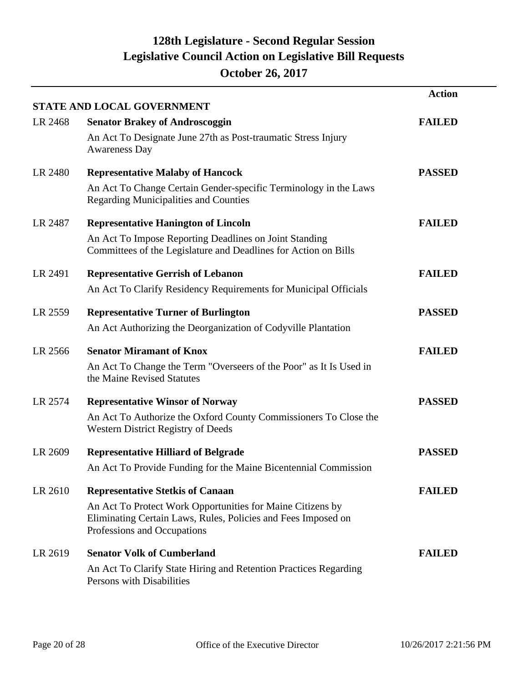|         |                                                                                                                                                            | <b>Action</b> |
|---------|------------------------------------------------------------------------------------------------------------------------------------------------------------|---------------|
|         | STATE AND LOCAL GOVERNMENT                                                                                                                                 |               |
| LR 2468 | <b>Senator Brakey of Androscoggin</b>                                                                                                                      | <b>FAILED</b> |
|         | An Act To Designate June 27th as Post-traumatic Stress Injury<br><b>Awareness Day</b>                                                                      |               |
| LR 2480 | <b>Representative Malaby of Hancock</b>                                                                                                                    | <b>PASSED</b> |
|         | An Act To Change Certain Gender-specific Terminology in the Laws<br><b>Regarding Municipalities and Counties</b>                                           |               |
| LR 2487 | <b>Representative Hanington of Lincoln</b>                                                                                                                 | <b>FAILED</b> |
|         | An Act To Impose Reporting Deadlines on Joint Standing<br>Committees of the Legislature and Deadlines for Action on Bills                                  |               |
| LR 2491 | <b>Representative Gerrish of Lebanon</b>                                                                                                                   | <b>FAILED</b> |
|         | An Act To Clarify Residency Requirements for Municipal Officials                                                                                           |               |
| LR 2559 | <b>Representative Turner of Burlington</b>                                                                                                                 | <b>PASSED</b> |
|         | An Act Authorizing the Deorganization of Codyville Plantation                                                                                              |               |
| LR 2566 | <b>Senator Miramant of Knox</b>                                                                                                                            | <b>FAILED</b> |
|         | An Act To Change the Term "Overseers of the Poor" as It Is Used in<br>the Maine Revised Statutes                                                           |               |
| LR 2574 | <b>Representative Winsor of Norway</b>                                                                                                                     | <b>PASSED</b> |
|         | An Act To Authorize the Oxford County Commissioners To Close the<br><b>Western District Registry of Deeds</b>                                              |               |
| LR 2609 | <b>Representative Hilliard of Belgrade</b>                                                                                                                 | <b>PASSED</b> |
|         | An Act To Provide Funding for the Maine Bicentennial Commission                                                                                            |               |
| LR 2610 | <b>Representative Stetkis of Canaan</b>                                                                                                                    | <b>FAILED</b> |
|         | An Act To Protect Work Opportunities for Maine Citizens by<br>Eliminating Certain Laws, Rules, Policies and Fees Imposed on<br>Professions and Occupations |               |
| LR 2619 | <b>Senator Volk of Cumberland</b>                                                                                                                          | <b>FAILED</b> |
|         | An Act To Clarify State Hiring and Retention Practices Regarding<br>Persons with Disabilities                                                              |               |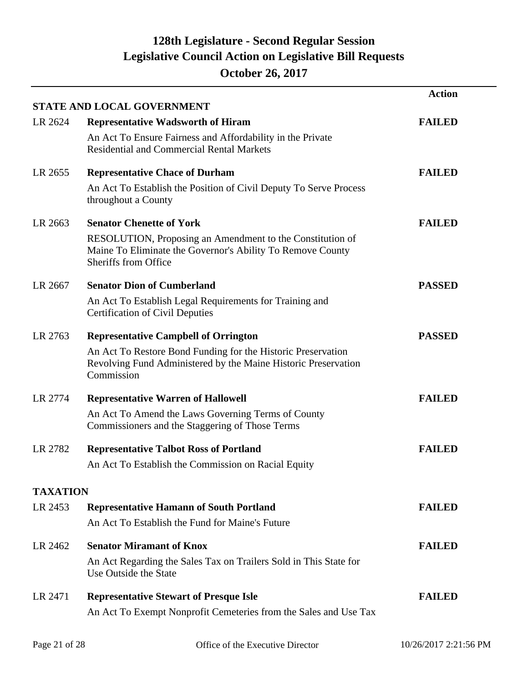|                 | <b>STATE AND LOCAL GOVERNMENT</b>                                                                                                               | <b>Action</b> |
|-----------------|-------------------------------------------------------------------------------------------------------------------------------------------------|---------------|
| LR 2624         | <b>Representative Wadsworth of Hiram</b>                                                                                                        | <b>FAILED</b> |
|                 | An Act To Ensure Fairness and Affordability in the Private<br><b>Residential and Commercial Rental Markets</b>                                  |               |
| LR 2655         | <b>Representative Chace of Durham</b>                                                                                                           | <b>FAILED</b> |
|                 | An Act To Establish the Position of Civil Deputy To Serve Process<br>throughout a County                                                        |               |
| LR 2663         | <b>Senator Chenette of York</b>                                                                                                                 | <b>FAILED</b> |
|                 | RESOLUTION, Proposing an Amendment to the Constitution of<br>Maine To Eliminate the Governor's Ability To Remove County<br>Sheriffs from Office |               |
| LR 2667         | <b>Senator Dion of Cumberland</b>                                                                                                               | <b>PASSED</b> |
|                 | An Act To Establish Legal Requirements for Training and<br><b>Certification of Civil Deputies</b>                                               |               |
| LR 2763         | <b>Representative Campbell of Orrington</b>                                                                                                     | <b>PASSED</b> |
|                 | An Act To Restore Bond Funding for the Historic Preservation<br>Revolving Fund Administered by the Maine Historic Preservation<br>Commission    |               |
| LR 2774         | <b>Representative Warren of Hallowell</b>                                                                                                       | <b>FAILED</b> |
|                 | An Act To Amend the Laws Governing Terms of County<br>Commissioners and the Staggering of Those Terms                                           |               |
| LR 2782         | <b>Representative Talbot Ross of Portland</b>                                                                                                   | <b>FAILED</b> |
|                 | An Act To Establish the Commission on Racial Equity                                                                                             |               |
| <b>TAXATION</b> |                                                                                                                                                 |               |
| LR 2453         | <b>Representative Hamann of South Portland</b>                                                                                                  | <b>FAILED</b> |
|                 | An Act To Establish the Fund for Maine's Future                                                                                                 |               |
| LR 2462         | <b>Senator Miramant of Knox</b>                                                                                                                 | <b>FAILED</b> |
|                 | An Act Regarding the Sales Tax on Trailers Sold in This State for<br>Use Outside the State                                                      |               |
| LR 2471         | <b>Representative Stewart of Presque Isle</b>                                                                                                   | <b>FAILED</b> |
|                 | An Act To Exempt Nonprofit Cemeteries from the Sales and Use Tax                                                                                |               |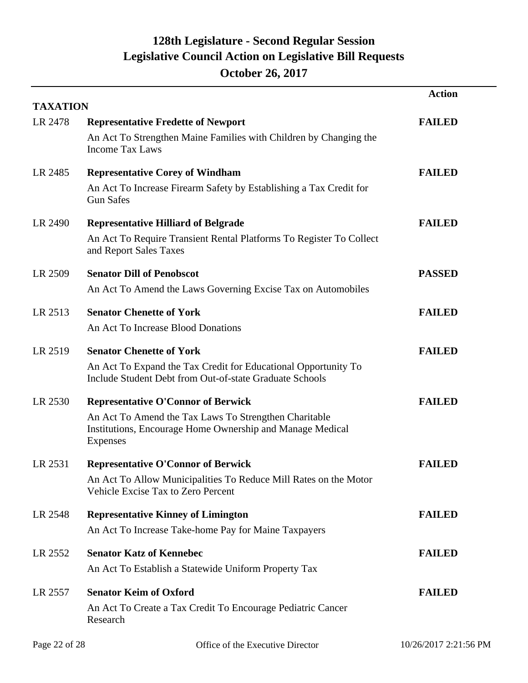| <b>TAXATION</b> |                                                                                                                                                                                    | <b>Action</b> |
|-----------------|------------------------------------------------------------------------------------------------------------------------------------------------------------------------------------|---------------|
| LR 2478         | <b>Representative Fredette of Newport</b><br>An Act To Strengthen Maine Families with Children by Changing the<br><b>Income Tax Laws</b>                                           | <b>FAILED</b> |
| LR 2485         | <b>Representative Corey of Windham</b><br>An Act To Increase Firearm Safety by Establishing a Tax Credit for<br><b>Gun Safes</b>                                                   | <b>FAILED</b> |
| LR 2490         | <b>Representative Hilliard of Belgrade</b><br>An Act To Require Transient Rental Platforms To Register To Collect<br>and Report Sales Taxes                                        | <b>FAILED</b> |
| LR 2509         | <b>Senator Dill of Penobscot</b><br>An Act To Amend the Laws Governing Excise Tax on Automobiles                                                                                   | <b>PASSED</b> |
| LR 2513         | <b>Senator Chenette of York</b><br>An Act To Increase Blood Donations                                                                                                              | <b>FAILED</b> |
| LR 2519         | <b>Senator Chenette of York</b><br>An Act To Expand the Tax Credit for Educational Opportunity To<br>Include Student Debt from Out-of-state Graduate Schools                       | <b>FAILED</b> |
| LR 2530         | <b>Representative O'Connor of Berwick</b><br>An Act To Amend the Tax Laws To Strengthen Charitable<br>Institutions, Encourage Home Ownership and Manage Medical<br><b>Expenses</b> | <b>FAILED</b> |
| LR 2531         | <b>Representative O'Connor of Berwick</b><br>An Act To Allow Municipalities To Reduce Mill Rates on the Motor<br>Vehicle Excise Tax to Zero Percent                                | <b>FAILED</b> |
| LR 2548         | <b>Representative Kinney of Limington</b><br>An Act To Increase Take-home Pay for Maine Taxpayers                                                                                  | <b>FAILED</b> |
| LR 2552         | <b>Senator Katz of Kennebec</b><br>An Act To Establish a Statewide Uniform Property Tax                                                                                            | <b>FAILED</b> |
| LR 2557         | <b>Senator Keim of Oxford</b><br>An Act To Create a Tax Credit To Encourage Pediatric Cancer<br>Research                                                                           | <b>FAILED</b> |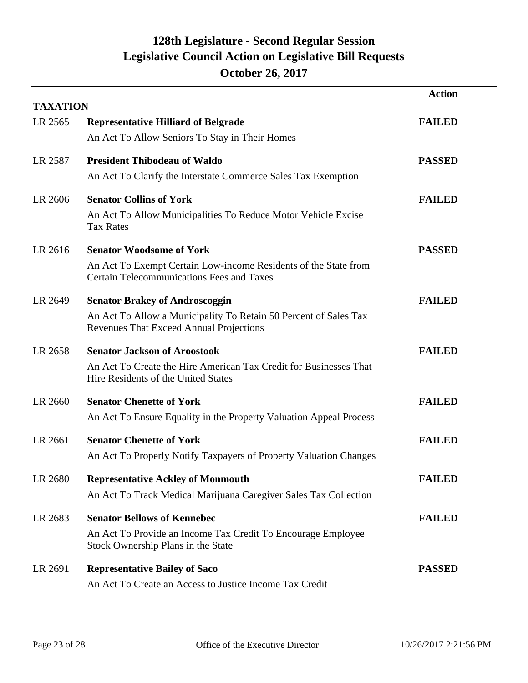| <b>TAXATION</b> |                                                                                                                                                             | <b>Action</b> |
|-----------------|-------------------------------------------------------------------------------------------------------------------------------------------------------------|---------------|
| LR 2565         | <b>Representative Hilliard of Belgrade</b><br>An Act To Allow Seniors To Stay in Their Homes                                                                | <b>FAILED</b> |
| LR 2587         | <b>President Thibodeau of Waldo</b><br>An Act To Clarify the Interstate Commerce Sales Tax Exemption                                                        | <b>PASSED</b> |
| LR 2606         | <b>Senator Collins of York</b><br>An Act To Allow Municipalities To Reduce Motor Vehicle Excise<br><b>Tax Rates</b>                                         | <b>FAILED</b> |
| LR 2616         | <b>Senator Woodsome of York</b><br>An Act To Exempt Certain Low-income Residents of the State from<br><b>Certain Telecommunications Fees and Taxes</b>      | <b>PASSED</b> |
| LR 2649         | <b>Senator Brakey of Androscoggin</b><br>An Act To Allow a Municipality To Retain 50 Percent of Sales Tax<br><b>Revenues That Exceed Annual Projections</b> | <b>FAILED</b> |
| LR 2658         | <b>Senator Jackson of Aroostook</b><br>An Act To Create the Hire American Tax Credit for Businesses That<br>Hire Residents of the United States             | <b>FAILED</b> |
| LR 2660         | <b>Senator Chenette of York</b><br>An Act To Ensure Equality in the Property Valuation Appeal Process                                                       | <b>FAILED</b> |
| LR 2661         | <b>Senator Chenette of York</b><br>An Act To Properly Notify Taxpayers of Property Valuation Changes                                                        | <b>FAILED</b> |
| LR 2680         | <b>Representative Ackley of Monmouth</b><br>An Act To Track Medical Marijuana Caregiver Sales Tax Collection                                                | <b>FAILED</b> |
| LR 2683         | <b>Senator Bellows of Kennebec</b><br>An Act To Provide an Income Tax Credit To Encourage Employee<br>Stock Ownership Plans in the State                    | <b>FAILED</b> |
| LR 2691         | <b>Representative Bailey of Saco</b><br>An Act To Create an Access to Justice Income Tax Credit                                                             | <b>PASSED</b> |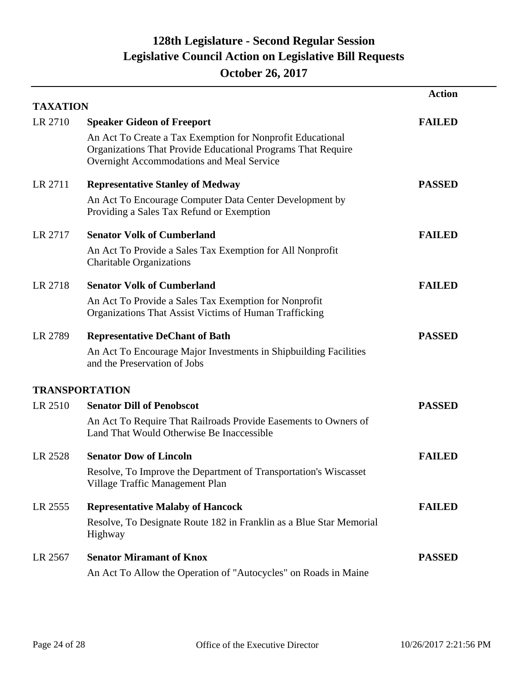|                 |                                                                                                                                                                         | <b>Action</b> |
|-----------------|-------------------------------------------------------------------------------------------------------------------------------------------------------------------------|---------------|
| <b>TAXATION</b> |                                                                                                                                                                         |               |
| LR 2710         | <b>Speaker Gideon of Freeport</b>                                                                                                                                       | <b>FAILED</b> |
|                 | An Act To Create a Tax Exemption for Nonprofit Educational<br>Organizations That Provide Educational Programs That Require<br>Overnight Accommodations and Meal Service |               |
| LR 2711         | <b>Representative Stanley of Medway</b>                                                                                                                                 | <b>PASSED</b> |
|                 | An Act To Encourage Computer Data Center Development by<br>Providing a Sales Tax Refund or Exemption                                                                    |               |
| LR 2717         | <b>Senator Volk of Cumberland</b>                                                                                                                                       | <b>FAILED</b> |
|                 | An Act To Provide a Sales Tax Exemption for All Nonprofit<br><b>Charitable Organizations</b>                                                                            |               |
| LR 2718         | <b>Senator Volk of Cumberland</b>                                                                                                                                       | <b>FAILED</b> |
|                 | An Act To Provide a Sales Tax Exemption for Nonprofit<br>Organizations That Assist Victims of Human Trafficking                                                         |               |
| LR 2789         | <b>Representative DeChant of Bath</b>                                                                                                                                   | <b>PASSED</b> |
|                 | An Act To Encourage Major Investments in Shipbuilding Facilities<br>and the Preservation of Jobs                                                                        |               |
|                 | <b>TRANSPORTATION</b>                                                                                                                                                   |               |
| LR 2510         | <b>Senator Dill of Penobscot</b>                                                                                                                                        | <b>PASSED</b> |
|                 | An Act To Require That Railroads Provide Easements to Owners of<br>Land That Would Otherwise Be Inaccessible                                                            |               |
| LR 2528         | <b>Senator Dow of Lincoln</b>                                                                                                                                           | <b>FAILED</b> |
|                 | Resolve, To Improve the Department of Transportation's Wiscasset<br>Village Traffic Management Plan                                                                     |               |
| LR 2555         | <b>Representative Malaby of Hancock</b>                                                                                                                                 | <b>FAILED</b> |
|                 | Resolve, To Designate Route 182 in Franklin as a Blue Star Memorial<br>Highway                                                                                          |               |
| LR 2567         | <b>Senator Miramant of Knox</b>                                                                                                                                         | <b>PASSED</b> |
|                 | An Act To Allow the Operation of "Autocycles" on Roads in Maine                                                                                                         |               |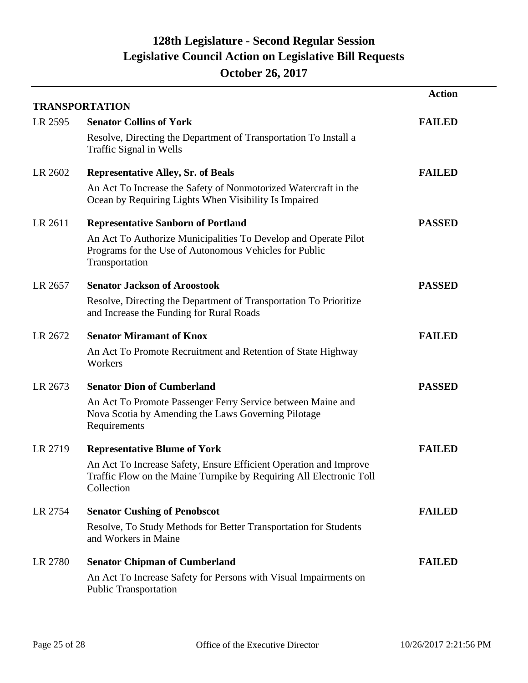|         | <b>TRANSPORTATION</b>                                                                                                                                  | <b>Action</b> |
|---------|--------------------------------------------------------------------------------------------------------------------------------------------------------|---------------|
| LR 2595 | <b>Senator Collins of York</b>                                                                                                                         | <b>FAILED</b> |
|         | Resolve, Directing the Department of Transportation To Install a<br>Traffic Signal in Wells                                                            |               |
| LR 2602 | <b>Representative Alley, Sr. of Beals</b>                                                                                                              | <b>FAILED</b> |
|         | An Act To Increase the Safety of Nonmotorized Watercraft in the<br>Ocean by Requiring Lights When Visibility Is Impaired                               |               |
| LR 2611 | <b>Representative Sanborn of Portland</b>                                                                                                              | <b>PASSED</b> |
|         | An Act To Authorize Municipalities To Develop and Operate Pilot<br>Programs for the Use of Autonomous Vehicles for Public<br>Transportation            |               |
| LR 2657 | <b>Senator Jackson of Aroostook</b>                                                                                                                    | <b>PASSED</b> |
|         | Resolve, Directing the Department of Transportation To Prioritize<br>and Increase the Funding for Rural Roads                                          |               |
| LR 2672 | <b>Senator Miramant of Knox</b>                                                                                                                        | <b>FAILED</b> |
|         | An Act To Promote Recruitment and Retention of State Highway<br>Workers                                                                                |               |
| LR 2673 | <b>Senator Dion of Cumberland</b>                                                                                                                      | <b>PASSED</b> |
|         | An Act To Promote Passenger Ferry Service between Maine and<br>Nova Scotia by Amending the Laws Governing Pilotage<br>Requirements                     |               |
| LR 2719 | <b>Representative Blume of York</b>                                                                                                                    | <b>FAILED</b> |
|         | An Act To Increase Safety, Ensure Efficient Operation and Improve<br>Traffic Flow on the Maine Turnpike by Requiring All Electronic Toll<br>Collection |               |
| LR 2754 | <b>Senator Cushing of Penobscot</b>                                                                                                                    | <b>FAILED</b> |
|         | Resolve, To Study Methods for Better Transportation for Students<br>and Workers in Maine                                                               |               |
| LR 2780 | <b>Senator Chipman of Cumberland</b>                                                                                                                   | <b>FAILED</b> |
|         | An Act To Increase Safety for Persons with Visual Impairments on<br><b>Public Transportation</b>                                                       |               |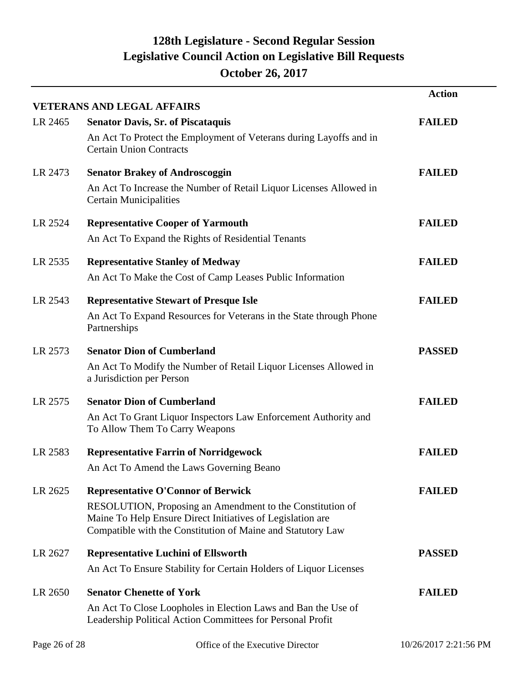|               |                                                                                                                                                                                        | <b>Action</b>         |
|---------------|----------------------------------------------------------------------------------------------------------------------------------------------------------------------------------------|-----------------------|
|               | <b>VETERANS AND LEGAL AFFAIRS</b>                                                                                                                                                      |                       |
| LR 2465       | <b>Senator Davis, Sr. of Piscataquis</b>                                                                                                                                               | <b>FAILED</b>         |
|               | An Act To Protect the Employment of Veterans during Layoffs and in<br><b>Certain Union Contracts</b>                                                                                   |                       |
| LR 2473       | <b>Senator Brakey of Androscoggin</b>                                                                                                                                                  | <b>FAILED</b>         |
|               | An Act To Increase the Number of Retail Liquor Licenses Allowed in<br><b>Certain Municipalities</b>                                                                                    |                       |
| LR 2524       | <b>Representative Cooper of Yarmouth</b>                                                                                                                                               | <b>FAILED</b>         |
|               | An Act To Expand the Rights of Residential Tenants                                                                                                                                     |                       |
| LR 2535       | <b>Representative Stanley of Medway</b>                                                                                                                                                | <b>FAILED</b>         |
|               | An Act To Make the Cost of Camp Leases Public Information                                                                                                                              |                       |
| LR 2543       | <b>Representative Stewart of Presque Isle</b>                                                                                                                                          | <b>FAILED</b>         |
|               | An Act To Expand Resources for Veterans in the State through Phone<br>Partnerships                                                                                                     |                       |
| LR 2573       | <b>Senator Dion of Cumberland</b>                                                                                                                                                      | <b>PASSED</b>         |
|               | An Act To Modify the Number of Retail Liquor Licenses Allowed in<br>a Jurisdiction per Person                                                                                          |                       |
| LR 2575       | <b>Senator Dion of Cumberland</b>                                                                                                                                                      | <b>FAILED</b>         |
|               | An Act To Grant Liquor Inspectors Law Enforcement Authority and<br>To Allow Them To Carry Weapons                                                                                      |                       |
| LR 2583       | <b>Representative Farrin of Norridgewock</b>                                                                                                                                           | <b>FAILED</b>         |
|               | An Act To Amend the Laws Governing Beano                                                                                                                                               |                       |
| LR 2625       | <b>Representative O'Connor of Berwick</b>                                                                                                                                              | <b>FAILED</b>         |
|               | RESOLUTION, Proposing an Amendment to the Constitution of<br>Maine To Help Ensure Direct Initiatives of Legislation are<br>Compatible with the Constitution of Maine and Statutory Law |                       |
| LR 2627       | <b>Representative Luchini of Ellsworth</b>                                                                                                                                             | <b>PASSED</b>         |
|               | An Act To Ensure Stability for Certain Holders of Liquor Licenses                                                                                                                      |                       |
| LR 2650       | <b>Senator Chenette of York</b>                                                                                                                                                        | <b>FAILED</b>         |
|               | An Act To Close Loopholes in Election Laws and Ban the Use of<br>Leadership Political Action Committees for Personal Profit                                                            |                       |
| Page 26 of 28 | Office of the Executive Director                                                                                                                                                       | 10/26/2017 2:21:56 PM |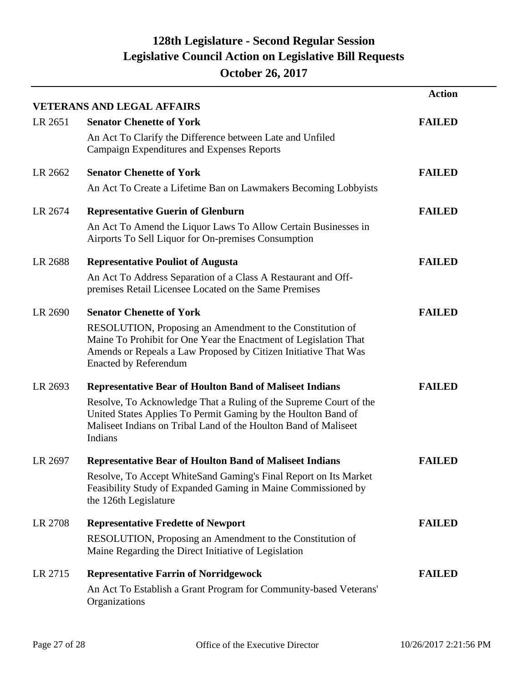|         | <b>VETERANS AND LEGAL AFFAIRS</b>                                                                                                                                                                                                | <b>Action</b> |
|---------|----------------------------------------------------------------------------------------------------------------------------------------------------------------------------------------------------------------------------------|---------------|
| LR 2651 | <b>Senator Chenette of York</b>                                                                                                                                                                                                  | <b>FAILED</b> |
|         | An Act To Clarify the Difference between Late and Unfiled<br>Campaign Expenditures and Expenses Reports                                                                                                                          |               |
| LR 2662 | <b>Senator Chenette of York</b>                                                                                                                                                                                                  | <b>FAILED</b> |
|         | An Act To Create a Lifetime Ban on Lawmakers Becoming Lobbyists                                                                                                                                                                  |               |
| LR 2674 | <b>Representative Guerin of Glenburn</b>                                                                                                                                                                                         | <b>FAILED</b> |
|         | An Act To Amend the Liquor Laws To Allow Certain Businesses in<br>Airports To Sell Liquor for On-premises Consumption                                                                                                            |               |
| LR 2688 | <b>Representative Pouliot of Augusta</b>                                                                                                                                                                                         | <b>FAILED</b> |
|         | An Act To Address Separation of a Class A Restaurant and Off-<br>premises Retail Licensee Located on the Same Premises                                                                                                           |               |
| LR 2690 | <b>Senator Chenette of York</b>                                                                                                                                                                                                  | <b>FAILED</b> |
|         | RESOLUTION, Proposing an Amendment to the Constitution of<br>Maine To Prohibit for One Year the Enactment of Legislation That<br>Amends or Repeals a Law Proposed by Citizen Initiative That Was<br><b>Enacted by Referendum</b> |               |
| LR 2693 | <b>Representative Bear of Houlton Band of Maliseet Indians</b>                                                                                                                                                                   | <b>FAILED</b> |
|         | Resolve, To Acknowledge That a Ruling of the Supreme Court of the<br>United States Applies To Permit Gaming by the Houlton Band of<br>Maliseet Indians on Tribal Land of the Houlton Band of Maliseet<br>Indians                 |               |
| LR 2697 | <b>Representative Bear of Houlton Band of Maliseet Indians</b>                                                                                                                                                                   | <b>FAILED</b> |
|         | Resolve, To Accept WhiteSand Gaming's Final Report on Its Market<br>Feasibility Study of Expanded Gaming in Maine Commissioned by<br>the 126th Legislature                                                                       |               |
| LR 2708 | <b>Representative Fredette of Newport</b>                                                                                                                                                                                        | <b>FAILED</b> |
|         | RESOLUTION, Proposing an Amendment to the Constitution of<br>Maine Regarding the Direct Initiative of Legislation                                                                                                                |               |
| LR 2715 | <b>Representative Farrin of Norridgewock</b>                                                                                                                                                                                     | <b>FAILED</b> |
|         | An Act To Establish a Grant Program for Community-based Veterans'<br>Organizations                                                                                                                                               |               |